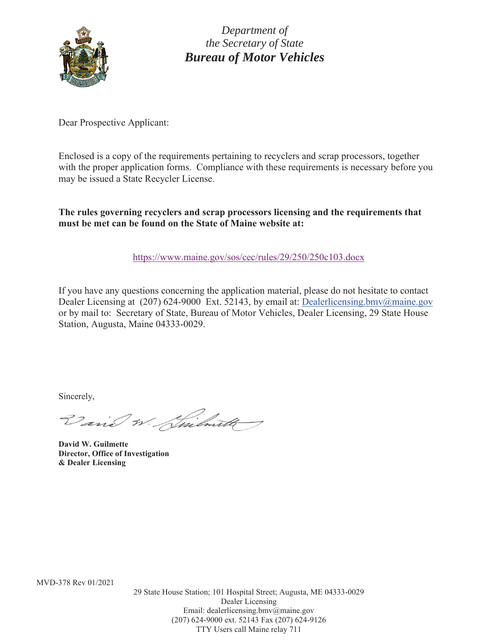

*Department of the Secretary of State Bureau of Motor Vehicles* 

Dear Prospective Applicant:

Enclosed is a copy of the requirements pertaining to recyclers and scrap processors, together with the proper application forms. Compliance with these requirements is necessary before you may be issued a State Recycler License.

**The rules governing recyclers and scrap processors licensing and the requirements that must be met can be found on the State of Maine website at:** 

https://www.maine.gov/sos/cec/rules/29/250/250c103.docx

If you have any questions concerning the application material, please do not hesitate to contact Dealer Licensing at (207) 624-9000 Ext. 52143, by email at: Dealerlicensing.bmv@maine.gov or by mail to: Secretary of State, Bureau of Motor Vehicles, Dealer Licensing, 29 State House Station, Augusta, Maine 04333-0029.

Sincerely,

Varia W. Smilwith

**David W. Guilmette Director, Office of Investigation & Dealer Licensing** 

MVD-378 Rev 01/2021

29 State House Station; 101 Hospital Street; Augusta, ME 04333-0029 Dealer Licensing Email: dealerlicensing.bmv@maine.gov (207) 624-9000 ext. 52143 Fax (207) 624-9126 TTY Users call Maine relay 711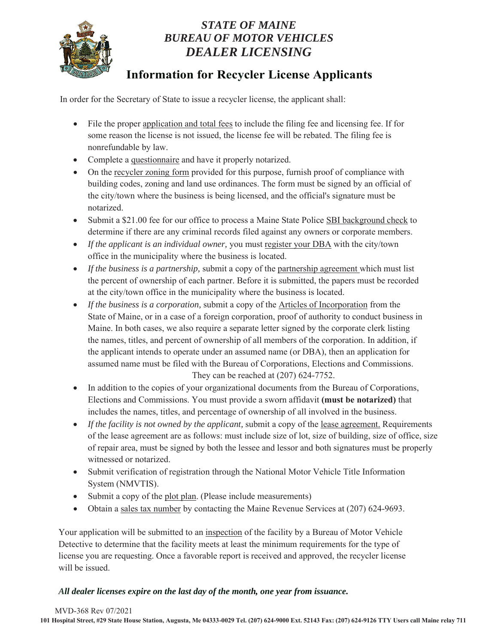

### *STATE OF MAINE BUREAU OF MOTOR VEHICLES DEALER LICENSING*

## **Information for Recycler License Applicants**

In order for the Secretary of State to issue a recycler license, the applicant shall:

- File the proper application and total fees to include the filing fee and licensing fee. If for some reason the license is not issued, the license fee will be rebated. The filing fee is nonrefundable by law.
- Complete a questionnaire and have it properly notarized.
- On the recycler zoning form provided for this purpose, furnish proof of compliance with building codes, zoning and land use ordinances. The form must be signed by an official of the city/town where the business is being licensed, and the official's signature must be notarized.
- Submit a \$21.00 fee for our office to process a Maine State Police SBI background check to determine if there are any criminal records filed against any owners or corporate members.
- *If the applicant is an individual owner,* you must register your DBA with the city/town office in the municipality where the business is located.
- *If the business is a partnership*, submit a copy of the partnership agreement which must list the percent of ownership of each partner. Before it is submitted, the papers must be recorded at the city/town office in the municipality where the business is located.
- *If the business is a corporation*, submit a copy of the Articles of Incorporation from the State of Maine, or in a case of a foreign corporation, proof of authority to conduct business in Maine. In both cases, we also require a separate letter signed by the corporate clerk listing the names, titles, and percent of ownership of all members of the corporation. In addition, if the applicant intends to operate under an assumed name (or DBA), then an application for assumed name must be filed with the Bureau of Corporations, Elections and Commissions. They can be reached at (207) 624-7752.
- In addition to the copies of your organizational documents from the Bureau of Corporations, Elections and Commissions. You must provide a sworn affidavit **(must be notarized)** that includes the names, titles, and percentage of ownership of all involved in the business.
- *If the facility is not owned by the applicant, submit a copy of the lease agreement. Requirements* of the lease agreement are as follows: must include size of lot, size of building, size of office, size of repair area, must be signed by both the lessee and lessor and both signatures must be properly witnessed or notarized.
- Submit verification of registration through the National Motor Vehicle Title Information System (NMVTIS).
- Submit a copy of the plot plan. (Please include measurements)
- $\bullet$  Obtain a sales tax number by contacting the Maine Revenue Services at (207) 624-9693.

Your application will be submitted to an inspection of the facility by a Bureau of Motor Vehicle Detective to determine that the facility meets at least the minimum requirements for the type of license you are requesting. Once a favorable report is received and approved, the recycler license will be issued.

#### *All dealer licenses expire on the last day of the month, one year from issuance.*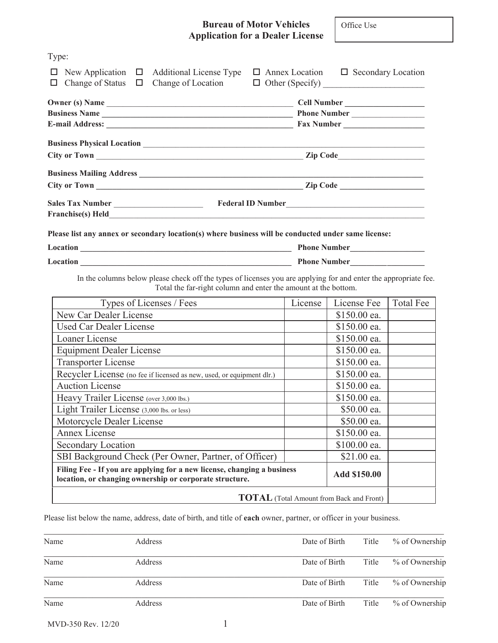#### **Bureau of Motor Vehicles Application for a Dealer License**

Office Use

| Type:                                                                                                                                                                             |         |                                                 |                  |
|-----------------------------------------------------------------------------------------------------------------------------------------------------------------------------------|---------|-------------------------------------------------|------------------|
| $\Box$ New Application $\Box$ Additional License Type $\Box$ Annex Location $\Box$ Secondary Location<br>Change of Status $\Box$<br>$\Box$                                        |         |                                                 |                  |
|                                                                                                                                                                                   |         | Cell Number                                     |                  |
|                                                                                                                                                                                   |         |                                                 |                  |
|                                                                                                                                                                                   |         | Fax Number                                      |                  |
|                                                                                                                                                                                   |         |                                                 |                  |
|                                                                                                                                                                                   |         |                                                 |                  |
|                                                                                                                                                                                   |         |                                                 |                  |
|                                                                                                                                                                                   |         |                                                 |                  |
| Sales Tax Number <b>Markov Community Contract Community</b> Federal ID Number<br>Franchise(s) Held<br><u>Franchise</u> (s) Held                                                   |         |                                                 |                  |
| Please list any annex or secondary location(s) where business will be conducted under same license:                                                                               |         |                                                 |                  |
| Location Phone Number                                                                                                                                                             |         |                                                 |                  |
| In the columns below please check off the types of licenses you are applying for and enter the appropriate fee.<br>Total the far-right column and enter the amount at the bottom. |         |                                                 |                  |
| Types of Licenses / Fees                                                                                                                                                          | License | License Fee                                     | <b>Total Fee</b> |
| New Car Dealer License                                                                                                                                                            |         | \$150.00 ea.                                    |                  |
| <b>Used Car Dealer License</b>                                                                                                                                                    |         | \$150.00 ea.                                    |                  |
| Loaner License                                                                                                                                                                    |         | \$150.00 ea.                                    |                  |
| <b>Equipment Dealer License</b>                                                                                                                                                   |         | \$150.00 ea.                                    |                  |
| <b>Transporter License</b>                                                                                                                                                        |         | \$150.00 ea.                                    |                  |
| Recycler License (no fee if licensed as new, used, or equipment dlr.)                                                                                                             |         | \$150.00 ea.                                    |                  |
| <b>Auction License</b>                                                                                                                                                            |         | \$150.00 ea.                                    |                  |
| Heavy Trailer License (over 3,000 lbs.)                                                                                                                                           |         | \$150.00 ea.                                    |                  |
| Light Trailer License (3,000 lbs. or less)                                                                                                                                        |         | \$50.00 ea.                                     |                  |
| Motorcycle Dealer License                                                                                                                                                         |         | \$50.00 ea.                                     |                  |
| <b>Annex License</b>                                                                                                                                                              |         | \$150.00 ea.                                    |                  |
| <b>Secondary Location</b>                                                                                                                                                         |         | \$100.00 ea.                                    |                  |
| SBI Background Check (Per Owner, Partner, of Officer)                                                                                                                             |         | \$21.00 ea.                                     |                  |
| Filing Fee - If you are applying for a new license, changing a business<br>location, or changing ownership or corporate structure.                                                |         | Add \$150.00                                    |                  |
|                                                                                                                                                                                   |         |                                                 |                  |
|                                                                                                                                                                                   |         | <b>TOTAL</b> (Total Amount from Back and Front) |                  |

Please list below the name, address, date of birth, and title of **each** owner, partner, or officer in your business.

| Name | Address | Date of Birth | Title | % of Ownership |
|------|---------|---------------|-------|----------------|
| Name | Address | Date of Birth | Title | % of Ownership |
| Name | Address | Date of Birth | Title | % of Ownership |
| Name | Address | Date of Birth | Title | % of Ownership |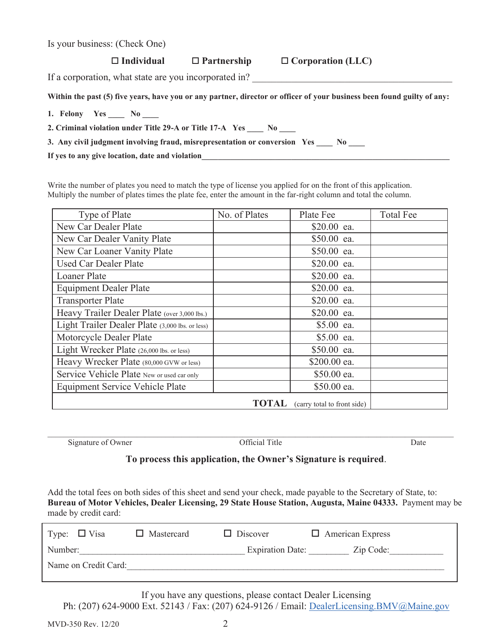| Number:              | <b>Expiration Date:</b><br>Zip Code:                       |
|----------------------|------------------------------------------------------------|
| Name on Credit Card: |                                                            |
|                      |                                                            |
|                      | If you have any questions, please contact Dealer Licensing |

Ph: (207) 624-9000 Ext. 52143 / Fax: (207) 624-9126 / Email: DealerLicensing.BMV@Maine.gov

made by credit card:

| Is your business: (Check One) |
|-------------------------------|
|-------------------------------|

#### **Individual Partnership Corporation (LLC)**

If a corporation, what state are you incorporated in?

**Within the past (5) five years, have you or any partner, director or officer of your business been found guilty of any:** 

**1. Felony Yes \_\_\_\_ No \_\_\_\_** 

**2. Criminal violation under Title 29-A or Title 17-A Yes \_\_\_\_ No \_\_\_\_ 3. Any civil judgment involving fraud, misrepresentation or conversion Yes \_\_\_\_ No \_\_\_\_** 

If yes to any give location, date and violation

Write the number of plates you need to match the type of license you applied for on the front of this application. Multiply the number of plates times the plate fee, enter the amount in the far-right column and total the column.

| Type of Plate                                   | No. of Plates | Plate Fee                   | <b>Total Fee</b> |
|-------------------------------------------------|---------------|-----------------------------|------------------|
| New Car Dealer Plate                            |               | \$20.00 ea.                 |                  |
| New Car Dealer Vanity Plate                     |               | \$50.00 ea.                 |                  |
| New Car Loaner Vanity Plate                     |               | \$50.00 ea.                 |                  |
| <b>Used Car Dealer Plate</b>                    |               | \$20.00 ea.                 |                  |
| <b>Loaner Plate</b>                             |               | \$20.00 ea.                 |                  |
| <b>Equipment Dealer Plate</b>                   |               | \$20.00 ea.                 |                  |
| <b>Transporter Plate</b>                        |               | \$20.00 ea.                 |                  |
| Heavy Trailer Dealer Plate (over 3,000 lbs.)    |               | \$20.00 ea.                 |                  |
| Light Trailer Dealer Plate (3,000 lbs. or less) |               | \$5.00 ea.                  |                  |
| Motorcycle Dealer Plate                         |               | \$5.00 ea.                  |                  |
| Light Wrecker Plate (26,000 lbs. or less)       |               | \$50.00 ea.                 |                  |
| Heavy Wrecker Plate (80,000 GVW or less)        |               | \$200.00 ea.                |                  |
| Service Vehicle Plate New or used car only      |               | \$50.00 ea.                 |                  |
| <b>Equipment Service Vehicle Plate</b>          |               | \$50.00 ea.                 |                  |
|                                                 | <b>TOTAL</b>  | (carry total to front side) |                  |

Signature of Owner Official Title Date

#### **To process this application, the Owner's Signature is required**.

**Bureau of Motor Vehicles, Dealer Licensing, 29 State House Station, Augusta, Maine 04333.** Payment may be

Add the total fees on both sides of this sheet and send your check, made payable to the Secretary of State, to:

If you have any questions, please contact Dealer Licensing

Type:  $\Box$  Visa  $\Box$  Mastercard  $\Box$  Discover  $\Box$  American Express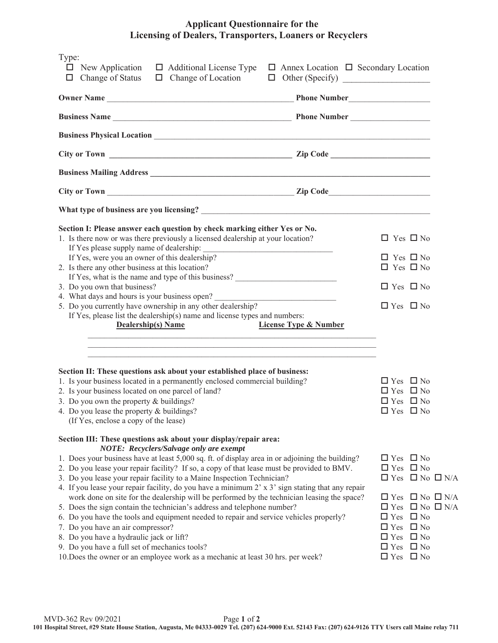#### **Applicant Questionnaire for the Licensing of Dealers, Transporters, Loaners or Recyclers**

| Type:<br>$\Box$ New Application<br>$\Box$ Additional License Type<br>$\Box$ Annex Location $\Box$ Secondary Location<br>Change of Status<br>$\Box$ Change of Location<br>□                                                                                                                                                                                                                                                                                                                                                                                                                                                                                                                                                                                                                                                                                                                                                                                                                |                                                                                                                                                                                                                                                                               |
|-------------------------------------------------------------------------------------------------------------------------------------------------------------------------------------------------------------------------------------------------------------------------------------------------------------------------------------------------------------------------------------------------------------------------------------------------------------------------------------------------------------------------------------------------------------------------------------------------------------------------------------------------------------------------------------------------------------------------------------------------------------------------------------------------------------------------------------------------------------------------------------------------------------------------------------------------------------------------------------------|-------------------------------------------------------------------------------------------------------------------------------------------------------------------------------------------------------------------------------------------------------------------------------|
|                                                                                                                                                                                                                                                                                                                                                                                                                                                                                                                                                                                                                                                                                                                                                                                                                                                                                                                                                                                           |                                                                                                                                                                                                                                                                               |
| <b>Business Name Contract Contract Contract Contract Contract Contract Contract Contract Contract Contract Contract Contract Contract Contract Contract Contract Contract Contract Contract Contract Contract Contract Contrac</b>                                                                                                                                                                                                                                                                                                                                                                                                                                                                                                                                                                                                                                                                                                                                                        |                                                                                                                                                                                                                                                                               |
|                                                                                                                                                                                                                                                                                                                                                                                                                                                                                                                                                                                                                                                                                                                                                                                                                                                                                                                                                                                           |                                                                                                                                                                                                                                                                               |
|                                                                                                                                                                                                                                                                                                                                                                                                                                                                                                                                                                                                                                                                                                                                                                                                                                                                                                                                                                                           |                                                                                                                                                                                                                                                                               |
|                                                                                                                                                                                                                                                                                                                                                                                                                                                                                                                                                                                                                                                                                                                                                                                                                                                                                                                                                                                           |                                                                                                                                                                                                                                                                               |
|                                                                                                                                                                                                                                                                                                                                                                                                                                                                                                                                                                                                                                                                                                                                                                                                                                                                                                                                                                                           |                                                                                                                                                                                                                                                                               |
|                                                                                                                                                                                                                                                                                                                                                                                                                                                                                                                                                                                                                                                                                                                                                                                                                                                                                                                                                                                           |                                                                                                                                                                                                                                                                               |
| Section I: Please answer each question by check marking either Yes or No.<br>1. Is there now or was there previously a licensed dealership at your location?<br>If Yes please supply name of dealership:<br>If Yes, were you an owner of this dealership?                                                                                                                                                                                                                                                                                                                                                                                                                                                                                                                                                                                                                                                                                                                                 | $\Box$ Yes $\Box$ No<br>$\Box$ Yes $\Box$ No                                                                                                                                                                                                                                  |
| 2. Is there any other business at this location?<br>If Yes, what is the name and type of this business?                                                                                                                                                                                                                                                                                                                                                                                                                                                                                                                                                                                                                                                                                                                                                                                                                                                                                   | $\Box$ Yes $\Box$ No                                                                                                                                                                                                                                                          |
| 3. Do you own that business?<br>4. What days and hours is your business open?<br><u> 1990 - Johann Barbara, martin a</u>                                                                                                                                                                                                                                                                                                                                                                                                                                                                                                                                                                                                                                                                                                                                                                                                                                                                  | $\Box$ Yes $\Box$ No                                                                                                                                                                                                                                                          |
| 5. Do you currently have ownership in any other dealership?<br>If Yes, please list the dealership(s) name and license types and numbers:<br><b>Dealership(s)</b> Name<br><b>License Type &amp; Number</b>                                                                                                                                                                                                                                                                                                                                                                                                                                                                                                                                                                                                                                                                                                                                                                                 | $\Box$ Yes $\Box$ No                                                                                                                                                                                                                                                          |
| Section II: These questions ask about your established place of business:<br>1. Is your business located in a permanently enclosed commercial building?<br>2. Is your business located on one parcel of land?<br>3. Do you own the property $&$ buildings?<br>4. Do you lease the property & buildings?<br>(If Yes, enclose a copy of the lease)                                                                                                                                                                                                                                                                                                                                                                                                                                                                                                                                                                                                                                          | $\Box$ Yes $\Box$ No<br>$\Box$ Yes $\Box$ No<br>$\Box$ Yes $\Box$ No<br>$\Box$ Yes $\Box$ No                                                                                                                                                                                  |
| Section III: These questions ask about your display/repair area:<br>NOTE: Recyclers/Salvage only are exempt<br>1. Does your business have at least 5,000 sq. ft. of display area in or adjoining the building?<br>2. Do you lease your repair facility? If so, a copy of that lease must be provided to BMV.<br>3. Do you lease your repair facility to a Maine Inspection Technician?<br>4. If you lease your repair facility, do you have a minimum $2 \times 3'$ sign stating that any repair<br>work done on site for the dealership will be performed by the technician leasing the space?<br>5. Does the sign contain the technician's address and telephone number?<br>6. Do you have the tools and equipment needed to repair and service vehicles properly?<br>7. Do you have an air compressor?<br>8. Do you have a hydraulic jack or lift?<br>9. Do you have a full set of mechanics tools?<br>10. Does the owner or an employee work as a mechanic at least 30 hrs. per week? | $\Box$ Yes $\Box$ No<br>$\Box$ Yes $\Box$ No<br>$\Box$ Yes $\Box$ No $\Box$ N/A<br>$\Box$ Yes $\Box$ No $\Box$ N/A<br>$\Box$ Yes $\Box$ No $\Box$ N/A<br>$\Box$ Yes $\Box$ No<br>$\Box$ Yes $\Box$ No<br>$\Box$ Yes $\Box$ No<br>$\Box$ Yes $\Box$ No<br>$\Box$ Yes $\Box$ No |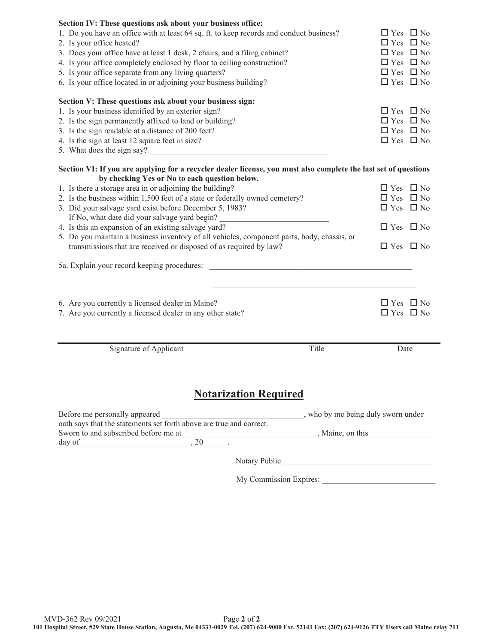| Section IV: These questions ask about your business office:<br>1. Do you have an office with at least 64 sq. ft. to keep records and conduct business?<br>2. Is your office heated?<br>3. Does your office have at least 1 desk, 2 chairs, and a filing cabinet?<br>4. Is your office completely enclosed by floor to ceiling construction?<br>5. Is your office separate from any living quarters?<br>6. Is your office located in or adjoining your business building?<br>Section V: These questions ask about your business sign:<br>1. Is your business identified by an exterior sign?<br>2. Is the sign permanently affixed to land or building?<br>3. Is the sign readable at a distance of 200 feet?<br>4. Is the sign at least 12 square feet in size?<br>5. What does the sign say? |       | $\Box$ Yes $\Box$ No<br>$\Box$ Yes $\Box$ No<br>$\Box$ Yes $\Box$ No<br>$\Box$ Yes $\Box$ No<br>$\Box$ Yes $\Box$ No<br>$\Box$ Yes $\Box$ No<br>$\Box$ Yes $\Box$ No<br>$\Box$ Yes $\Box$ No<br>$\Box$ Yes $\Box$ No<br>$\Box$ Yes $\Box$ No |
|-----------------------------------------------------------------------------------------------------------------------------------------------------------------------------------------------------------------------------------------------------------------------------------------------------------------------------------------------------------------------------------------------------------------------------------------------------------------------------------------------------------------------------------------------------------------------------------------------------------------------------------------------------------------------------------------------------------------------------------------------------------------------------------------------|-------|----------------------------------------------------------------------------------------------------------------------------------------------------------------------------------------------------------------------------------------------|
| Section VI: If you are applying for a recycler dealer license, you must also complete the last set of questions                                                                                                                                                                                                                                                                                                                                                                                                                                                                                                                                                                                                                                                                               |       |                                                                                                                                                                                                                                              |
| by checking Yes or No to each question below.<br>1. Is there a storage area in or adjoining the building?<br>2. Is the business within 1,500 feet of a state or federally owned cemetery?<br>3. Did your salvage yard exist before December 5, 1983?<br>If No, what date did your salvage yard begin?<br>4. Is this an expansion of an existing salvage yard?<br>5. Do you maintain a business inventory of all vehicles, component parts, body, chassis, or<br>transmissions that are received or disposed of as required by law?                                                                                                                                                                                                                                                            |       | $\Box$ Yes $\Box$ No<br>$\Box$ Yes $\Box$ No<br>$\Box$ Yes $\Box$ No<br>$\Box$ Yes $\Box$ No<br>$\Box$ Yes $\Box$ No                                                                                                                         |
|                                                                                                                                                                                                                                                                                                                                                                                                                                                                                                                                                                                                                                                                                                                                                                                               |       |                                                                                                                                                                                                                                              |
| 5a. Explain your record keeping procedures:<br>6. Are you currently a licensed dealer in Maine?<br>7. Are you currently a licensed dealer in any other state?                                                                                                                                                                                                                                                                                                                                                                                                                                                                                                                                                                                                                                 |       | $\Box$ Yes $\Box$ No<br>$\Box$ Yes $\Box$ No                                                                                                                                                                                                 |
| Signature of Applicant                                                                                                                                                                                                                                                                                                                                                                                                                                                                                                                                                                                                                                                                                                                                                                        | Title | Date                                                                                                                                                                                                                                         |
| <b>Notarization Required</b>                                                                                                                                                                                                                                                                                                                                                                                                                                                                                                                                                                                                                                                                                                                                                                  |       |                                                                                                                                                                                                                                              |

Notary Public \_\_\_\_\_\_\_\_\_\_\_\_\_\_\_\_\_\_\_\_\_\_\_\_\_\_\_\_\_\_\_\_\_\_\_\_\_

My Commission Expires: \_\_\_\_\_\_\_\_\_\_\_\_\_\_\_\_\_\_\_\_\_\_\_\_\_\_\_\_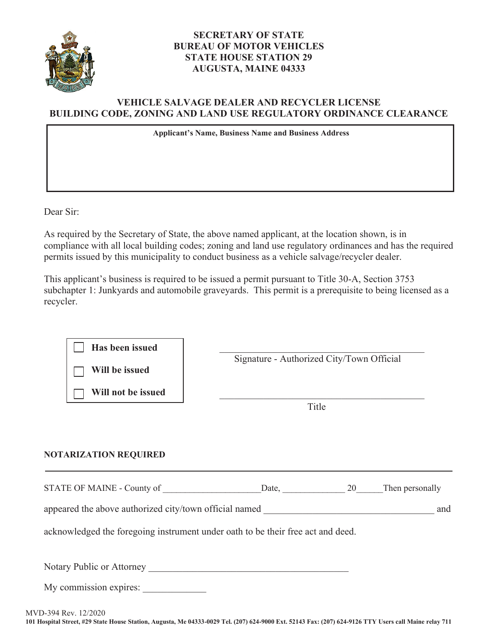

#### **SECRETARY OF STATE BUREAU OF MOTOR VEHICLES STATE HOUSE STATION 29 AUGUSTA, MAINE 04333**

#### **VEHICLE SALVAGE DEALER AND RECYCLER LICENSE BUILDING CODE, ZONING AND LAND USE REGULATORY ORDINANCE CLEARANCE**

**Applicant's Name, Business Name and Business Address**

Dear Sir:

As required by the Secretary of State, the above named applicant, at the location shown, is in compliance with all local building codes; zoning and land use regulatory ordinances and has the required permits issued by this municipality to conduct business as a vehicle salvage/recycler dealer.

This applicant's business is required to be issued a permit pursuant to Title 30-A, Section 3753 subchapter 1: Junkyards and automobile graveyards. This permit is a prerequisite to being licensed as a recycler.

**Has been issued <br>
<b>Has been issued** 

**Will be issued** 

**Will not be issued**  \_\_\_\_\_\_\_\_\_\_\_\_\_\_\_\_\_\_\_\_\_\_\_\_\_\_\_\_\_\_\_\_\_\_\_\_\_\_\_\_\_\_

Signature - Authorized City/Town Official

<u>Title</u>

#### **NOTARIZATION REQUIRED**

| STATE OF MAINE - Co<br>`ounty of | 11 | hen personall |
|----------------------------------|----|---------------|
|                                  |    |               |

appeared the above authorized city/town official named  $\blacksquare$ 

acknowledged the foregoing instrument under oath to be their free act and deed.

Notary Public or Attorney \_\_\_\_\_\_\_\_\_\_\_\_\_\_\_\_\_\_\_\_\_\_\_\_\_\_\_\_\_\_\_\_\_\_\_\_\_\_\_\_\_

My commission expires: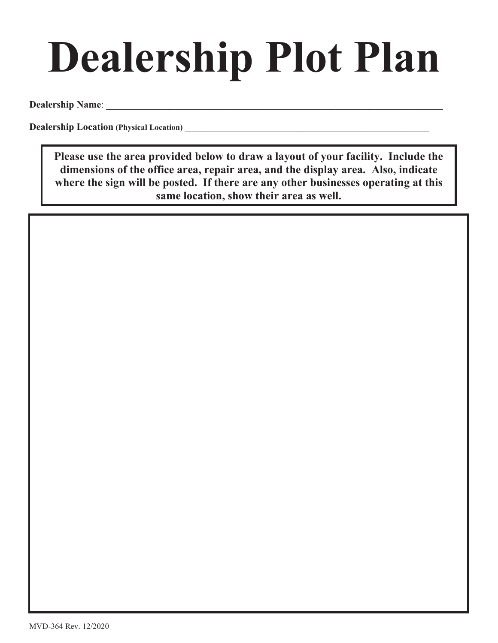# **Dealership Plot Plan**

**Dealership Name**: \_\_\_\_\_\_\_\_\_\_\_\_\_\_\_\_\_\_\_\_\_\_\_\_\_\_\_\_\_\_\_\_\_\_\_\_\_\_\_\_\_\_\_\_\_\_\_\_\_\_\_\_\_\_\_\_\_\_\_\_\_\_\_\_\_\_\_\_\_

**Dealership Location (Physical Location) Dealership Location** 

**Please use the area provided below to draw a layout of your facility. Include the dimensions of the office area, repair area, and the display area. Also, indicate where the sign will be posted. If there are any other businesses operating at this same location, show their area as well.**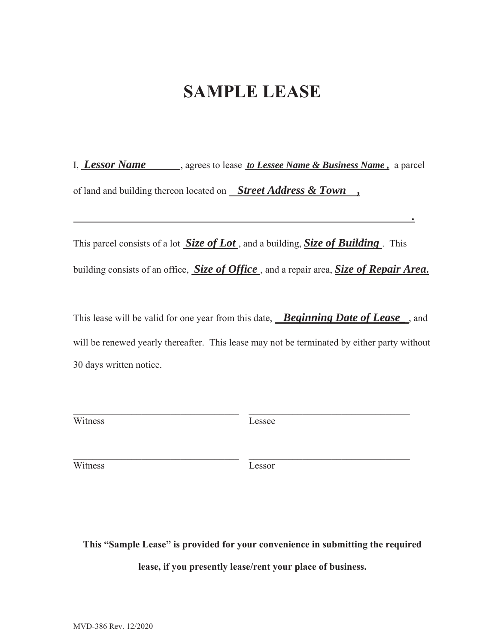## **SAMPLE LEASE**

I, *Lessor Name* , agrees to lease *to Lessee Name & Business Name*, a parcel of land and building thereon located on *Street Address & Town ,* 

 *.* 

This parcel consists of a lot *Size of Lot* , and a building, *Size of Building* . This building consists of an office, *Size of Office* , and a repair area, *Size of Repair Area***.** 

This lease will be valid for one year from this date, *Beginning Date of Lease\_* , and will be renewed yearly thereafter. This lease may not be terminated by either party without 30 days written notice.

| Гr<br>Æ. |  |
|----------|--|
|----------|--|

Lessee

Witness Lessor

**This "Sample Lease" is provided for your convenience in submitting the required** 

**lease, if you presently lease/rent your place of business.**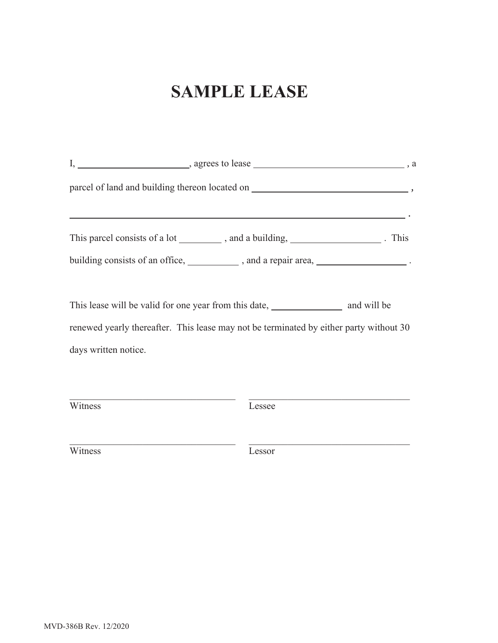# **SAMPLE LEASE**

|                      | This parcel consists of a lot __________, and a building, _____________________. This     |  |
|----------------------|-------------------------------------------------------------------------------------------|--|
|                      | building consists of an office, _____________, and a repair area, ______________________. |  |
|                      | This lease will be valid for one year from this date, and will be and will be             |  |
|                      | renewed yearly thereafter. This lease may not be terminated by either party without 30    |  |
| days written notice. |                                                                                           |  |
|                      |                                                                                           |  |
|                      |                                                                                           |  |

Witness Lessee

Witness Lessor